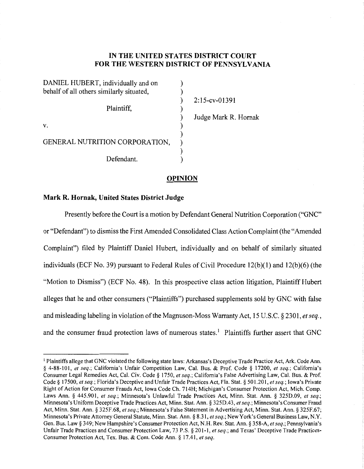# **IN THE UNITED STATES DISTRICT COURT FOR THE WESTERN DISTRICT OF PENNSYLVANIA**

| DANIEL HUBERT, individually and on       |  |
|------------------------------------------|--|
| behalf of all others similarly situated, |  |
|                                          |  |
| Plaintiff,                               |  |
|                                          |  |
| V.                                       |  |
|                                          |  |
| GENERAL NUTRITION CORPORATION,           |  |
|                                          |  |
| Defendant.                               |  |

2: 15-cv-01391 Judge Mark R. Hornak

### **OPINION**

## **Mark R. Hornak, United States District Judge**

Presently before the Court is a motion by Defendant General Nutrition Corporation ("GNC" or "Defendant") to dismiss the First Amended Consolidated Class Action Complaint (the "Amended Complaint") filed by Plaintiff Daniel Hubert, individually and on behalf of similarly situated individuals (ECF No. 39) pursuant to Federal Rules of Civil Procedure  $12(b)(1)$  and  $12(b)(6)$  (the "Motion to Dismiss") (ECF No. 48). In this prospective class action litigation, Plaintiff Hubert alleges that he and other consumers ("Plaintiffs") purchased supplements sold by GNC with false and misleading labeling in violation of the Magnuson-Moss Warranty Act, 15 U.S.C. § 2301, *et seq.,*  and the consumer fraud protection laws of numerous states.<sup>1</sup> Plaintiffs further assert that GNC

<sup>&</sup>lt;sup>1</sup> Plaintiffs allege that GNC violated the following state laws: Arkansas's Deceptive Trade Practice Act, Ark. Code Ann. § 4-88- JO 1, *et seq.;* California's Unfair Competition Law, Cal. Bus. & Prof. Code § 17200, *et seq.;* California's Consumer Legal Remedies Act, Cal. Civ. Code § 1750, *et seq.;* California's False Advertising Law, Cal. Bus. & Prof. Code§ 17500, *et seq.;* Florida's Deceptive and Unfair Trade Practices Act, Fla. Stat.§ 501.201, *et seq.;* Iowa's Private Right of Action for Consumer Frauds Act, Iowa Code Ch. 714H; Michigan's Consumer Protection Act, Mich. Comp. Laws Ann. § 445.901, *et seq.*; Minnesota's Unlawful Trade Practices Act, Minn. Stat. Ann. § 325D.09, *et seq.*; Minnesota's Uniform Deceptive Trade Practices Act, Minn. Stat. Ann. § 325D.43, *et seq.;* Minnesota's Consumer Fraud Act, Minn. Stat. Ann. § 325F.68, *et seq.;* Minnesota's False Statement in Advertising Act, Minn. Stat. Ann. § 325F.67; Minnesota's Private Attorney General Statute, Minn. Stat. Ann.§ 8.31, *et seq.;* New York's General Business Law, N.Y. Gen. Bus. Law§ 349; New Hampshire's Consumer Protection Act, N.H. Rev. Stat. Ann.§ 358-A, *et seq.;* Pennsylvania's Unfair Trade Practices and Consumer Protection Law, 73 P.S. § 201-1, *et seq.;* and Texas' Deceptive Trade Practices-Consumer Protection Act, Tex. Bus. & Com. Code Ann. § 17.41, *et seq.*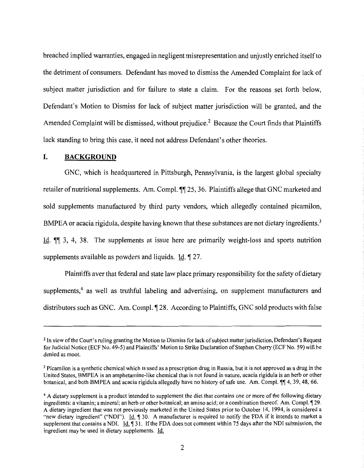breached implied warranties, engaged in negligent misrepresentation and unjustly enriched itself to the detriment of consumers. Defendant has moved to dismiss the Amended Complaint for lack of subject matter jurisdiction and for failure to state a claim. For the reasons set forth below, Defendant's Motion to Dismiss for lack of subject matter jurisdiction will be granted, and the Amended Complaint will be dismissed, without prejudice.<sup>2</sup> Because the Court finds that Plaintiffs lack standing to bring this case, it need not address Defendant's other theories.

## **I. BACKGROUND**

GNC, which is headquartered in Pittsburgh, Pennsylvania, is the largest global specialty retailer of nutritional supplements. Am. Compl.  $\P$  25, 36. Plaintiffs allege that GNC marketed and sold supplements manufactured by third party vendors, which allegedly contained picamilon, BMPEA or acacia rigidula, despite having known that these substances are not dietary ingredients.<sup>3</sup> Id.  $\P$  3, 4, 38. The supplements at issue here are primarily weight-loss and sports nutrition supplements available as powders and liquids.  $\underline{Id}$ .  $\P$  27.

Plaintiffs aver that federal and state law place primary responsibility for the safety of dietary supplements,<sup>4</sup> as well as truthful labeling and advertising, on supplement manufacturers and distributors such as GNC. Am. Compl.  $\P$ 28. According to Plaintiffs, GNC sold products with false

<sup>&</sup>lt;sup>2</sup> In view of the Court's ruling granting the Motion to Dismiss for lack of subject matter jurisdiction, Defendant's Request for Judicial Notice (ECF No. 49-5) and Plaintiffs' Motion to Strike Declaration of Stephen Cherry (ECF No. 59) will be denied as moot.

<sup>3</sup> Picamilon is a synthetic chemical which is used as a prescription drug in Russia, but it is not approved as a drug in the United States, BMPEA is an amphetamine-like chemical that is not found in nature, acacia rigidula is an herb or other botanical, and both BMPEA and acacia rigidula allegedly have no history of safe use. Am. Compl. III 4, 39, 48, 66.

<sup>&</sup>lt;sup>4</sup> A dietary supplement is a product intended to supplement the diet that contains one or more of the following dietary ingredients: a vitamin; a mineral; an herb or other botanical; an amino acid; or a combination thereof. Am. Compl. 129. A dietary ingredient that was not previously marketed in the United States prior to October 14, 1994, is considered a "new dietary ingredient" ("NDI"). Id.  $\parallel$  30. A manufacturer is required to notify the FDA if it intends to market a supplement that contains a NDI. Id. 131. If the FDA does not comment within 75 days after the NDI submission, the ingredient may be used in dietary supplements. Id.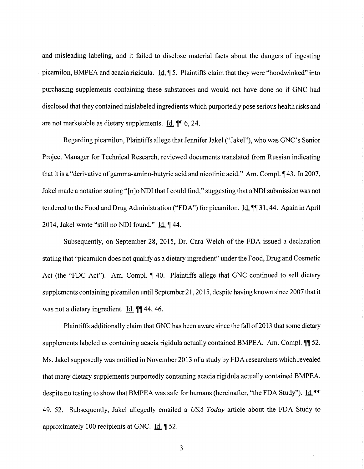and misleading labeling, and it failed to disclose material facts about the dangers of ingesting picamilon, BMPEA and acacia rigidula. Id.  $\parallel$  5. Plaintiffs claim that they were "hoodwinked" into purchasing supplements containing these substances and would not have done so if GNC had disclosed that they contained mislabeled ingredients which purportedly pose serious health risks and are not marketable as dietary supplements. Id.  $\llbracket \mathbf{\mathbf{\P}}\rrbracket$  6, 24.

Regarding picamilon, Plaintiffs allege that Jennifer Jakel ("Jakel"), who was GNC's Senior Project Manager for Technical Research, reviewed documents translated from Russian indicating that it is a "derivative of gamma-amino-butyric acid and nicotinic acid." Am. Compl.  $\P$ 43. In 2007, Jakel made a notation stating "[n]o NDI that I could find," suggesting that aNDI submission was not tendered to the Food and Drug Administration ("FDA") for picamilon. Id.  $\P$  31, 44. Again in April 2014, Jakel wrote "still no NDI found."  $\underline{Id}$ .  $\P$  44.

Subsequently, on September 28, 2015, Dr. Cara Welch of the FDA issued a declaration stating that "picamilon does not qualify as a dietary ingredient" under the Food, Drug and Cosmetic Act (the "FDC Act"). Am. Compl.  $\P$  40. Plaintiffs allege that GNC continued to sell dietary supplements containing picamilon until September 21, 2015, despite having known since 2007 that it was not a dietary ingredient.  $\underline{Id}$ .  $\P\P$  44, 46.

Plaintiffs additionally claim that GNC has been aware since the fall of 2013 that some dietary supplements labeled as containing acacia rigidula actually contained BMPEA. Am. Compl.  $\P$  52. Ms. Jakel supposedly was notified in November 2013 of a study by FDA researchers which revealed that many dietary supplements purportedly containing acacia rigidula actually contained BMPEA, despite no testing to show that BMPEA was safe for humans (hereinafter, "the FDA Study"). Id.  $\P$ 49, 52. Subsequently, Jakel allegedly emailed a *USA Today* article about the FDA Study to approximately 100 recipients at GNC.  $\underline{Id}$ .  $\P$  52.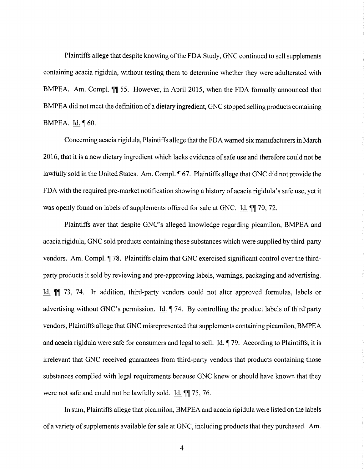Plaintiffs allege that despite knowing of the FDA Study, GNC continued to sell supplements containing acacia rigidula, without testing them to determine whether they were adulterated with BMPEA. Am. Compl.  $\P$  55. However, in April 2015, when the FDA formally announced that BMPEA did not meet the definition of a dietary ingredient, GNC stopped selling products containing BMPEA. Id.  $\P$  60.

Concerning acacia rigidula, Plaintiffs allege that the FDA warned six manufacturers in March 2016, that it is a new dietary ingredient which lacks evidence of safe use and therefore could not be lawfully sold in the United States. Am. Compl.  $\sqrt{167}$ . Plaintiffs allege that GNC did not provide the FDA with the required pre-market notification showing a history of acacia rigidula's safe use, yet it was openly found on labels of supplements offered for sale at GNC. Id.  $\P$  70, 72.

Plaintiffs aver that despite GNC's alleged knowledge regarding picamilon, BMPEA and acacia rigidula, GNC sold products containing those substances which were supplied by third-party vendors. Am. Compl. *¶* 78. Plaintiffs claim that GNC exercised significant control over the thirdparty products it sold by reviewing and pre-approving labels, warnings, packaging and advertising. Id. **iii** 73, 74. In addition, third-party vendors could not alter approved formulas, labels or advertising without GNC's permission. Id.  $\P$  74. By controlling the product labels of third party vendors, Plaintiffs allege that GNC misrepresented that supplements containing picamilon, BMPEA and acacia rigidula were safe for consumers and legal to sell. Id.  $\P$  79. According to Plaintiffs, it is irrelevant that GNC received guarantees from third-party vendors that products containing those substances complied with legal requirements because GNC knew or should have known that they were not safe and could not be lawfully sold.  $\underline{Id}$ .  $\text{I} \cdot \text{I} \cdot \text{I} \cdot \text{I} \cdot \text{I} \cdot \text{I} \cdot \text{I} \cdot \text{I} \cdot \text{I} \cdot \text{I} \cdot \text{I} \cdot \text{I} \cdot \text{I} \cdot \text{I} \cdot \text{I} \cdot \text{I} \cdot \text{I} \cdot \text{I} \cdot \text{I} \cdot \text{I} \cdot \text{I} \cdot \text{I} \cdot \text{I} \cdot \text{$ 

In sum, Plaintiffs allege that picamilon, BMPEA and acacia rigidula were listed on the labels of a variety of supplements available for sale at GNC, including products that they purchased. Am.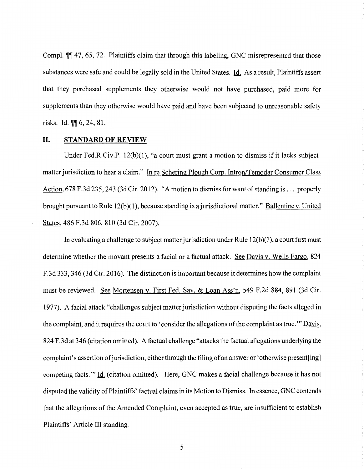Compl.  $\P$  47, 65, 72. Plaintiffs claim that through this labeling, GNC misrepresented that those substances were safe and could be legally sold in the United States. Id. As a result, Plaintiffs assert that they purchased supplements they otherwise would not have purchased, paid more for supplements than they otherwise would have paid and have been subjected to unreasonable safety risks.  $Id.  $\sqrt{\phantom{a}} 6, 24, 81$ .$ </u>

#### **II. STANDARD OF REVIEW**

Under Fed.R.Civ.P. 12(b)(1), "a court must grant a motion to dismiss if it lacks subjectmatter jurisdiction to hear a claim." In re Schering Plough Corp. Intron/Temodar Consumer Class Action, 678 F.3d 235, 243 (3d Cir. 2012). "A motion to dismiss for want of standing is .... properly brought pursuant to Rule 12(b)(l), because standing is a jurisdictional matter." Ballentine v. United States, 486 F.3d 806, 810 (3d Cir. 2007).

In evaluating a challenge to subject matter jurisdiction under Rule  $12(b)(1)$ , a court first must determine whether the movant presents a facial or a factual attack. See Davis v. Wells Fargo, 824 F.3d 333, 346 (3d Cir. 2016). The distinction is important because it determines how the complaint must be reviewed. See Mortensen v. First Fed. Sav. & Loan Ass'n, 549 F.2d 884, 891 (3d Cir. 1977). A facial attack "challenges subject matter jurisdiction without disputing the facts alleged in the complaint, and it requires the court to 'consider the allegations of the complaint as true.'" Davis, 824 F .3d at 346 (citation omitted). A factual challenge "attacks the factual allegations underlying the complaint's assertion of jurisdiction, either through the filing of an answer or 'otherwise present[ing] competing facts."' Id. (citation omitted). Here, GNC makes a facial challenge because it has not disputed the validity of Plaintiffs' factual claims in its Motion to Dismiss. In essence, GNC contends that the allegations of the Amended Complaint, even accepted as true, are insufficient to establish Plaintiffs' Article III standing.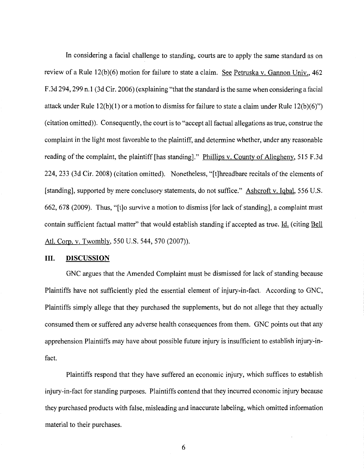In considering a facial challenge to standing, courts are to apply the same standard as on review of a Rule 12(b)(6) motion for failure to state a claim. See Petruska v. Gannon Univ., 462 F .3d 294, 299 n.1 (3d Cir. 2006) (explaining "that the standard is the same when considering a facial attack under Rule 12(b)(l) or a motion to dismiss for failure to state a claim under Rule 12(b)(6)") (citation omitted)). Consequently, the court is to "accept all factual allegations as true, construe the complaint in the light most favorable to the plaintiff, and determine whether, under any reasonable reading of the complaint, the plaintiff [has standing]." Phillips v. County of Allegheny, 515 F.3d 224, 233 (3d Cir. 2008) (citation omitted). Nonetheless, "[t]hreadbare recitals of the elements of [standing], supported by mere conclusory statements, do not suffice." Ashcroft v. Igbal, 556 U.S. 662, 678 (2009). Thus, "[t]o survive a motion to dismiss [for lack of standing], a complaint must contain sufficient factual matter" that would establish standing if accepted as true. Id. (citing Bell Atl. Corp. v. Twombly, 550 U.S. 544, 570 (2007)).

#### **III. DISCUSSION**

GNC argues that the Amended Complaint must be dismissed for lack of standing because Plaintiffs have not sufficiently pled the essential element of injury-in-fact. According to GNC, Plaintiffs simply allege that they purchased the supplements, but do not allege that they actually consumed them or suffered any adverse health consequences from them. GNC points out that any apprehension Plaintiffs may have about possible future injury is insufficient to establish injury-infact.

Plaintiffs respond that they have suffered an economic injury, which suffices to establish injury-in-fact for standing purposes. Plaintiffs contend that they incurred economic injury because they purchased products with false, misleading and inaccurate labeling, which omitted information material to their purchases.

6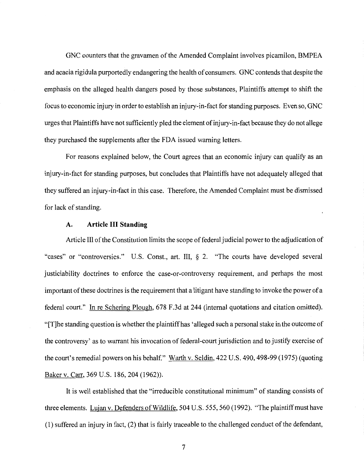GNC counters that the gravamen of the Amended Complaint involves picamilon, BMPEA and acacia rigidula purportedly endangering the health of consumers. GNC contends that despite the emphasis on the alleged health dangers posed by those substances, Plaintiffs attempt to shift the focus to economic injury in order to establish an injury-in-fact for standing purposes. Even so, GNC urges that Plaintiffs have not sufficiently pled the element ofinjury-in-fact because they do not allege they purchased the supplements after the FDA issued warning letters.

For reasons explained below, the Court agrees that an economic injury can qualify as an injury-in-fact for standing purposes, but concludes that Plaintiffs have not adequately alleged that they suffered an injury-in-fact in this case. Therefore, the Amended Complaint must be dismissed for lack of standing.

#### A. **Article III Standing**

Article III of the Constitution limits the scope of federal judicial power to the adjudication of "cases" or "controversies." U.S. Const., art. III, *§* 2. "The courts have developed several justiciability doctrines to enforce the case-or-controversy requirement, and perhaps the most important of these doctrines is the requirement that a litigant have standing to invoke the power of a federal court." In re Schering Plough, 678 F.3d at 244 (internal quotations and citation omitted). "[T]he standing question is whether the plaintiff has 'alleged such a personal stake in the outcome of the controversy' as to warrant his invocation of federal-court jurisdiction and to justify exercise of the court's remedial powers on his behalf." Warth v. Seldin, 422 U.S. 490, 498-99 (1975) (quoting Baker v. Carr, 369 U.S. 186, 204 (1962)).

It is well established that the "irreducible constitutional minimum" of standing consists of three elements. Lujan v. Defenders of Wildlife, 504 U.S. 555, 560 (1992). "The plaintiff must have (1) suffered an injury in fact, (2) that is fairly traceable to the challenged conduct of the defendant,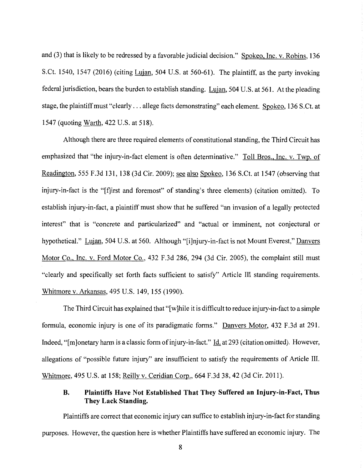and (3) that is likely to be redressed by a favorable judicial decision." Spokeo, Inc. v. Robins, 136 S.Ct. 1540, 1547 (2016) (citing Lujan, 504 U.S. at 560-61). The plaintiff, as the party invoking federal jurisdiction, bears the burden to establish standing. Lujan, 504 U.S. at 561. At the pleading stage, the plaintiff must "clearly ... allege facts demonstrating" each element. Spokeo, 136 S.Ct. at 1547 (quoting Warth, 422 U.S. at 518).

Although there are three required elements of constitutional standing, the Third Circuit has emphasized that "the injury-in-fact element is often determinative." Toll Bros., Inc. v. Twp. of Readington, 555 F.3d 131, 138 (3d Cir. 2009); see also Spokeo, 136 S.Ct. at 1547 (observing that injury-in-fact is the "[f]irst and foremost" of standing's three elements) (citation omitted). To establish injury-in-fact, a plaintiff must show that he suffered "an invasion of a legally protected interest" that is "concrete and particularized" and "actual or imminent, not conjectural or hypothetical." Lujan, 504 U.S. at 560. Although "[i]njury-in-fact is not Mount Everest," Danvers Motor Co., Inc. v. Ford Motor Co., 432 F.3d 286, 294 (3d Cir. 2005), the complaint still must "clearly and specifically set forth facts sufficient to satisfy" Article III standing requirements. Whitmore v. Arkansas, 495 U.S. 149, 155 (1990).

The Third Circuit has explained that "[w] hile it is difficult to reduce injury-in-fact to a simple formula, economic injury is one of its paradigmatic forms." Danvers Motor, 432 F.3d at 291. Indeed, "[m]onetary harm is a classic form of injury-in-fact." Id. at 293 (citation omitted). However, allegations of "possible future injury" are insufficient to satisfy the requirements of Article III. Whitmore, 495 U.S. at 158; Reilly v. Ceridian Corp., 664 F.3d 38, 42 (3d Cir. 2011).

# **B. Plaintiffs Have Not Established That They Suffered an Injury-in-Fact, Thus They Lack Standing.**

Plaintiffs are correct that economic injury can suffice to establish injury-in-fact for standing purposes. However, the question here is whether Plaintiffs have suffered an economic injury. The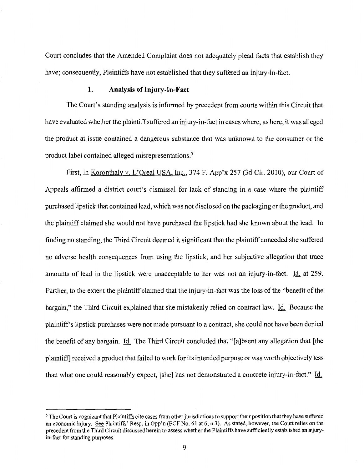Court concludes that the Amended Complaint does not adequately plead facts that establish they have; consequently, Plaintiffs have not established that they suffered an injury-in-fact.

### **1. Analysis of Injury-In-Fact**

The Court's standing analysis is informed by precedent from courts within this Circuit that have evaluated whether the plaintiff suffered an injury-in-fact in cases where, as here, it was alleged the product at issue contained a dangerous substance that was unknown to the consumer or the product label contained alleged misrepresentations.5

First, in Koronthaly v. L'Oreal USA, Inc., 374 F. App'x 257 (3d Cir. 2010), our Court of Appeals affirmed a district court's dismissal for lack of standing in a case where the plaintiff purchased lipstick that contained lead, which was not disclosed on the packaging or the product, and the plaintiff claimed she would not have purchased the lipstick had she known about the lead. In finding no standing, the Third Circuit deemed it significant that the plaintiff conceded she suffered no adverse health consequences from using the lipstick, and her subjective allegation that trace amounts of lead in the lipstick were unacceptable to her was not an injury-in-fact. Id. at 259. Further, to the extent the plaintiff claimed that the injury-in-fact was the loss of the "benefit of the bargain," the Third Circuit explained that she mistakenly relied on contract law. Id. Because the plaintiffs lipstick purchases were not made pursuant to a contract, she could not have been denied the benefit of any bargain. Id. The Third Circuit concluded that "[a ]bsent any allegation that [the plaintiff] received a product that failed to work for its intended purpose or was worth objectively less than what one could reasonably expect, [she] has not demonstrated a concrete injury-in-fact." Id.

*<sup>5</sup>*The Court is cognizant that Plaintiffs cite cases from other jurisdictions to support their position that they have suffered an economic injury. See Plaintiffs' Resp. in Opp'n (ECF No. 61 at 6, n.3). As stated, however, the Court relies on the precedent from the Third Circuit discussed herein to assess whether the Plaintiffs have sufficiently established an injuryin-fact for standing purposes.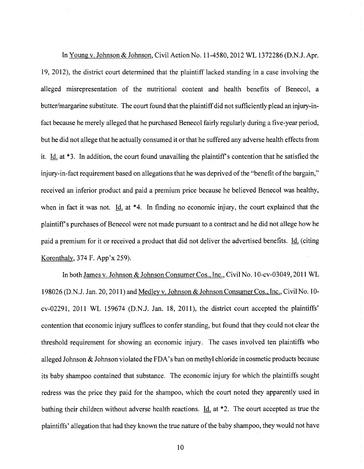In Young v. Johnson & Johnson, Civil Action No. 11-4580, 2012 WL 1372286 (D.N.J. Apr. 19, 2012), the district court determined that the plaintiff lacked standing in a case involving the alleged misrepresentation of the nutritional content and health benefits of Benecol, a butter/margarine substitute. The court found that the plaintiff did not sufficiently plead an injury-infact because he merely alleged that he purchased Benecol fairly regularly during a five-year period, but he did not allege that he actually consumed it or that he suffered any adverse health effects from it. Id. at  $*3$ . In addition, the court found unavailing the plaintiff's contention that he satisfied the injury-in-fact requirement based on allegations that he was deprived of the "benefit of the bargain," received an inferior product and paid a premium price because he believed Benecol was healthy, when in fact it was not. Id. at  $*4$ . In finding no economic injury, the court explained that the plaintiffs purchases of Benecol were not made pursuant to a contract and he did not allege how he paid a premium for it or received a product that did not deliver the advertised benefits. Id. (citing Koronthaly, 374 F. App'x 259).

In both James v. Johnson & Johnson Consumer Cos., Inc., Civil No. 1O-cv-03049,2011 WL 198026 (D.N.J. Jan. 20, 2011) and Medley v. Johnson & Johnson Consumer Cos., Inc., Civil No. 10 cv-02291, 2011 WL 159674 (D.N.J. Jan. 18, 2011), the district court accepted the plaintiffs' contention that economic injury suffices to confer standing, but found that they could not clear the threshold requirement for showing an economic injury. The cases involved ten plaintiffs who alleged Johnson  $\&$  Johnson violated the FDA's ban on methyl chloride in cosmetic products because its baby shampoo contained that substance. The economic injury for which the plaintiffs sought redress was the price they paid for the shampoo, which the court noted they apparently used in bathing their children without adverse health reactions. Id. at  $*2$ . The court accepted as true the plaintiffs' allegation that had they known the true nature of the baby shampoo, they would not have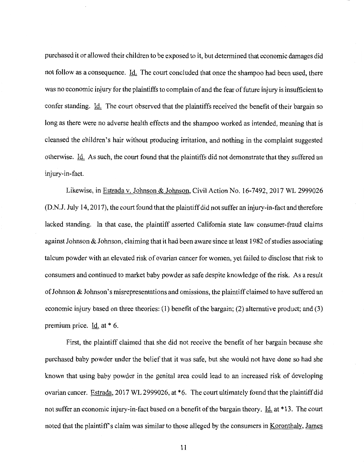purchased it or allowed their children to be exposed to it, but determined that economic damages did not follow as a consequence. Id. The court concluded that once the shampoo had been used, there was no economic injury for the plaintiffs to complain of and the fear of future injury is insufficient to confer standing. Id. The court observed that the plaintiffs received the benefit of their bargain so long as there were no adverse health effects and the shampoo worked as intended, meaning that is cleansed the children's hair without producing irritation, and nothing in the complaint suggested otherwise. Id. As such, the court found that the plaintiffs did not demonstrate that they suffered an injury-in-fact.

Likewise, in Estrada v. Johnson & Johnson, Civil Action No. 16-7492, 2017 WL 2999026 (D.N.J. July 14, 2017), the court found that the plaintiff did not suffer an injury-in-fact and therefore lacked standing. In that case, the plaintiff asserted California state law consumer-fraud claims against Johnson & Johnson, claiming that it had been aware since at least I 982 of studies associating talcum powder with an elevated risk of ovarian cancer for women, yet failed to disclose that risk to consumers and continued to market baby powder as safe despite knowledge of the risk. As a result of Johnson & Johnson's misrepresentations and omissions, the plaintiff claimed to have suffered an economic injury based on three theories: (I) benefit of the bargain; (2) alternative product; and (3) premium price. Id. at \* 6.

First, the plaintiff claimed that she did not receive the benefit of her bargain because she purchased baby powder under the belief that it was safe, but she would not have done so had she known that using baby powder in the genital area could lead to an increased risk of developing ovarian cancer. Estrada, 2017 WL 2999026, at \*6. The court ultimately found that the plaintiff did not suffer an economic injury-in-fact based on a benefit of the bargain theory. Id. at \*13. The court noted that the plaintiff's claim was similar to those alleged by the consumers in <u>Koronthaly</u>, James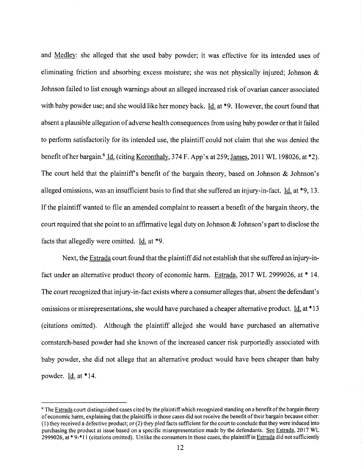and Medley: she alleged that she used baby powder; it was effective for its intended uses of eliminating friction and absorbing excess moisture; she was not physically injured; Johnson  $\&$ Johnson failed to list enough warnings about an alleged increased risk of ovarian cancer associated with baby powder use; and she would like her money back. Id. at \*9. However, the court found that absent a plausible allegation of adverse health consequences from using baby powder or that it failed to perform satisfactorily for its intended use, the plaintiff could not claim that she was denied the benefit of her bargain.<sup>6</sup> Id. (citing Koronthaly, 374 F. App'x at 259; James, 2011 WL 198026, at \*2). The court held that the plaintiff's benefit of the bargain theory, based on Johnson  $\&$  Johnson's alleged omissions, was an insufficient basis to find that she suffered an injury-in-fact. Id. at \*9, 13. If the plaintiff wanted to file an amended complaint to reassert a benefit of the bargain theory, the court required that she point to an affirmative legal duty on Johnson & Johnson's part to disclose the facts that allegedly were omitted. Id. at \*9.

Next, the Estrada court found that the plaintiff did not establish that she suffered an injury-infact under an alternative product theory of economic harm. Estrada, 2017 WL 2999026, at \* 14. The court recognized that injury-in-fact exists where a consumer alleges that, absent the defendant's omissions or misrepresentations, she would have purchased a cheaper alternative product. <u>Id.</u> at \*13 (citations omitted). Although the plaintiff alleged she would have purchased an alternative cornstarch-based powder had she known of the increased cancer risk purportedly associated with baby powder, she did not allege that an alternative product would have been cheaper than baby powder. Id. at \* 14.

<sup>&</sup>lt;sup>6</sup> The Estrada court distinguished cases cited by the plaintiff which recognized standing on a benefit of the bargain theory of economic harm, explaining that the plaintiffs in those cases did not receive the benefit of their bargain because either: ( 1) they received a defective product; or (2) they pied facts sufficient for the court to conclude that they were induced into purchasing the product at issue based on a specific misrepresentation made by the defendants. See Estrada, 2017 WL 2999026, at  $* 9 - 11$  (citations omitted). Unlike the consumers in those cases, the plaintiff in **Estrada** did not sufficiently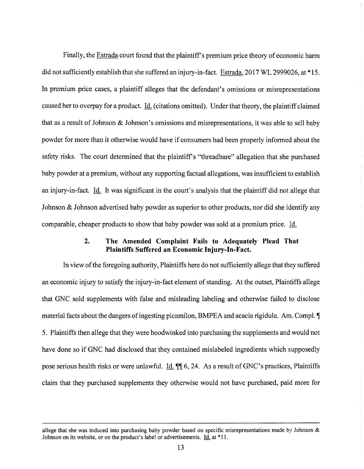Finally, the **Estrada** court found that the plaintiff's premium price theory of economic harm did not sufficiently establish that she suffered an injury-in-fact. Estrada, 2017 WL 2999026, at \*15. In premium price cases, a plaintiff alleges that the defendant's omissions or misrepresentations caused her to overpay for a product. Id. (citations omitted). Under that theory, the plaintiff claimed that as a result of Johnson & Johnson's omissions and misrepresentations, it was able to sell baby powder for more than it otherwise would have if consumers had been properly informed about the safety risks. The court determined that the plaintiff's "threadbare" allegation that she purchased baby powder at a premium, without any supporting factual allegations, was insufficient to establish an injury-in-fact. Id. It was significant in the court's analysis that the plaintiff did not allege that Johnson & Johnson advertised baby powder as superior to other products, nor did she identify any comparable, cheaper products to show that baby powder was sold at a premium price. Jd.

## **2. The Amended Complaint Fails to Adequately Plead That Plaintiffs Suffered an Economic Injury-In-Fact.**

In view of the foregoing authority, Plaintiffs here do not sufficiently allege that they suffered an economic injury to satisfy the injury-in-fact element of standing. At the outset, Plaintiffs allege that GNC sold supplements with false and misleading labeling and otherwise failed to disclose material facts about the dangers of ingesting picamilon, BMPEA and acacia rigidula. Am. Compl. 5. Plaintiffs then allege that they were hoodwinked into purchasing the supplements and would not have done so if GNC had disclosed that they contained mislabeled ingredients which supposedly pose serious health risks or were unlawful. Id.  $\P$  $\parallel$  6, 24. As a result of GNC's practices, Plaintiffs claim that they purchased supplements they otherwise would not have purchased, paid more for

allege that she was induced into purchasing baby powder based on specific misrepresentations made by Johnson  $\&$ Johnson on its website, or on the product's label or advertisements.  $\underline{Id}$ , at \*11.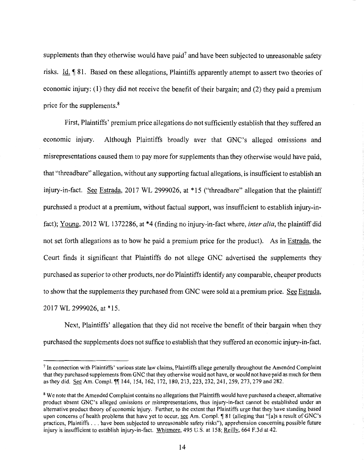supplements than they otherwise would have paid<sup>7</sup> and have been subjected to unreasonable safety risks. Id. ¶ 81. Based on these allegations, Plaintiffs apparently attempt to assert two theories of economic injury: (1) they did not receive the benefit of their bargain; and (2) they paid a premium price for the supplements. 8

First, Plaintiffs' premium price allegations do not sufficiently establish that they suffered an economic injury. Although Plaintiffs broadly aver that GNC's alleged omissions and misrepresentations caused them to pay more for supplements than they otherwise would have paid, that "threadbare" allegation, without any supporting factual allegations, is insufficient to establish an injury-in-fact. See Estrada, 2017 WL 2999026, at \* 15 ("threadbare" allegation that the plaintiff purchased a product at a premium, without factual support, was insufficient to establish injury-infact); Young, 2012 WL 1372286, at \*4 (finding no injury-in-fact where, *inter alia,* the plaintiff did not set forth allegations as to how he paid a premium price for the product). As in Estrada, the Court finds it significant that Plaintiffs do not allege GNC advertised the supplements they purchased as superior to other products, nor do Plaintiffs identify any comparable, cheaper products to show that the supplements they purchased from GNC were sold at a premium price. See Estrada, 2017 WL 2999026, at \*15.

Next, Plaintiffs' allegation that they did not receive the benefit of their bargain when they purchased the supplements does not suffice to establish that they suffered an economic injury-in-fact.

<sup>7</sup> In connection with Plaintiffs' various state law claims, Plaintiffs allege generally throughout the Amended Complaint that they purchased supplements from GNC that they otherwise would not have, or would not have paid as much for them as they did. See Am. Compl.  $\P$ 144, 154, 162, 172, 180, 213, 223, 232, 241, 259, 273, 279 and 282.

<sup>&</sup>lt;sup>8</sup> We note that the Amended Complaint contains no allegations that Plaintiffs would have purchased a cheaper, alternative product absent GNC's alleged omissions or misrepresentations, thus injury-in-fact cannot be established under an alternative product theory of economic injury. Further, to the extent that Plaintiffs urge that they have standing based upon concerns of health problems that have yet to occur, see Am. Compl. ¶ 81 (alleging that "[a]s a result of GNC's practices, Plaintiffs ... have been subjected to unreasonable safety risks"), apprehension concerning possible future injury is insufficient to establish injury-in-fact. Whitmore, 495 U.S. at 158; Reilly, 664 F.3d at 42.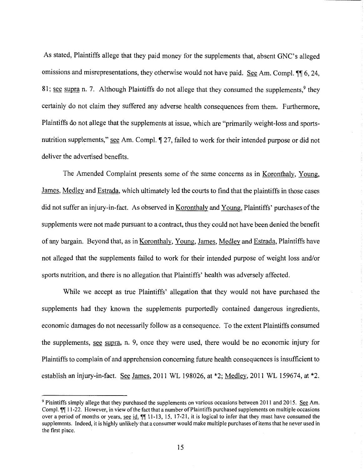As stated, Plaintiffs allege that they paid money for the supplements that, absent GNC's alleged omissions and misrepresentations, they otherwise would not have paid. See Am. Compl.  $\P$  6, 24, 81; see supra n. 7. Although Plaintiffs do not allege that they consumed the supplements,  $9$  they certainly do not claim they suffered any adverse health consequences from them. Furthermore, Plaintiffs do not allege that the supplements at issue, which are "primarily weight-loss and sportsnutrition supplements," see Am. Compl.  $\sqrt{ }$  27, failed to work for their intended purpose or did not deliver the advertised benefits.

The Amended Complaint presents some of the same concerns as in Koronthaly, Young, James, Medley and Estrada, which ultimately led the courts to find that the plaintiffs in those cases did not suffer an injury-in-fact. As observed in Koronthaly and Young, Plaintiffs' purchases of the supplements were not made pursuant to a contract, thus they could not have been denied the benefit of any bargain. Beyond that, as in Koronthaly, Young, James, Medley and Estrada, Plaintiffs have not alleged that the supplements failed to work for their intended purpose of weight loss and/or sports nutrition, and there is no allegation that Plaintiffs' health was adversely affected.

While we accept as true Plaintiffs' allegation that they would not have purchased the supplements had they known the supplements purportedly contained dangerous ingredients, economic damages do not necessarily follow as a consequence. To the extent Plaintiffs consumed the supplements, see supra, n. 9, once they were used, there would be no economic injury for Plaintiffs to complain of and apprehension concerning future health consequences is insufficient to establish an injury-in-fact. See James, 2011 WL 198026, at  $*2$ ; Medley, 2011 WL 159674, at  $*2$ .

<sup>9</sup> Plaintiffs simply allege that they purchased the supplements on various occasions between 2011 and 2015. See Am. Compl.  $\P\P$  11-22. However, in view of the fact that a number of Plaintiffs purchased supplements on multiple occasions over a period of months or years, see id.  $\P$ [11-13, 15, 17-21, it is logical to infer that they must have consumed the supplements. Indeed, it is highly unlikely that a consumer would make multiple purchases of items that he never used in the first place.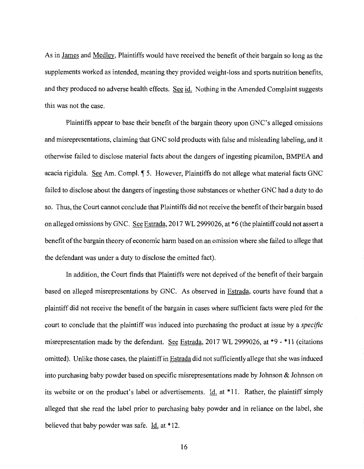As in James and Medley, Plaintiffs would have received the benefit of their bargain so long as the supplements worked as intended, meaning they provided weight-loss and sports nutrition benefits, and they produced no adverse health effects. See id. Nothing in the Amended Complaint suggests this was not the case.

Plaintiffs appear to base their benefit of the bargain theory upon GNC's alleged omissions and misrepresentations, claiming that GNC sold products with false and misleading labeling, and it otherwise failed to disclose material facts about the dangers of ingesting picamilon, BMPEA and acacia rigidula. See Am. Compl. 15. However, Plaintiffs do not allege what material facts GNC failed to disclose about the dangers of ingesting those substances or whether GNC had a duty to do so. Thus, the Court cannot conclude that Plaintiffs did not receive the benefit of their bargain based on alleged omissions by GNC. See Estrada, 2017 WL 2999026, at \*6 (the plaintiff could not assert a benefit of the bargain theory of economic harm based on an omission where she failed to allege that the defendant was under a duty to disclose the omitted fact).

In addition, the Court finds that Plaintiffs were not deprived of the benefit of their bargain based on alleged misrepresentations by GNC. As observed in Estrada, courts have found that a plaintiff did not receive the benefit of the bargain in cases where sufficient facts were pled for the court to conclude that the plaintiff was induced into purchasing the product at issue by a *specific*  misrepresentation made by the defendant. See Estrada, 2017 WL 2999026, at \*9 - \* 11 (citations omitted). Unlike those cases, the plaintiff in Estrada did not sufficiently allege that she was induced into purchasing baby powder based on specific misrepresentations made by Johnson & Johnson on its website or on the product's label or advertisements. Id. at \* 11. Rather, the plaintiff simply alleged that she read the label prior to purchasing baby powder and in reliance on the label, she believed that baby powder was safe. Id. at \* 12.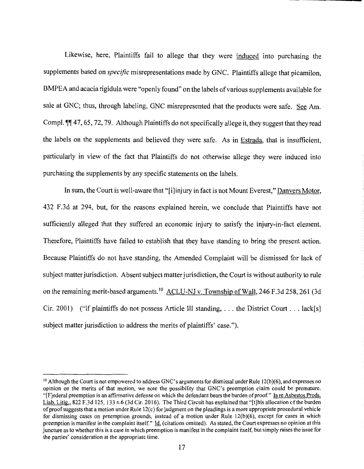Likewise, here, Plaintiffs fail to allege that they were induced into purchasing the supplements based on *specific* misrepresentations made by GNC. Plaintiffs allege that picamilon, BMPEA and acacia rigidula were "openly found" on the labels of various supplements available for sale at GNC; thus, through labeling, GNC misrepresented that the products were safe. See Am. Compl.  $\mathbb{I}$  47, 65, 72, 79. Although Plaintiffs do not specifically allege it, they suggest that they read the labels on the supplements and believed they were safe. As in Estrada, that is insufficient, particularly in view of the fact that Plaintiffs do not otherwise allege they were induced into purchasing the supplements by any specific statements on the labels.

In sum, the Court is well-aware that "[i]injury in fact is not Mount Everest," Danvers Motor, 432 F.3d at 294, but, for the reasons explained herein, we conclude that Plaintiffs have not sufficiently alleged that they suffered an economic injury to satisfy the injury-in-fact element. Therefore, Plaintiffs have failed to establish that they have standing to bring the present action. Because Plaintiffs do not have standing, the Amended Complaint will be dismissed for lack of subject matter jurisdiction. Absent subject matter jurisdiction, the Court is without authority to rule on the remaining merit-based arguments.<sup>10</sup> ACLU-NJ v. Township of Wall, 246 F.3d 258, 261 (3d) Cir. 2001) ("If plaintiffs do not possess Article III standing, ... the District Court ... lack[s] subject matter jurisdiction to address the merits of plaintiffs' case.").

 $10$  Although the Court is not empowered to address GNC's arguments for dismissal under Rule 12(b)(6), and expresses no opinion on the merits of that motion, we note the possibility that GNC's preemption claim could be premature. "[F]ederal preemption is an affinnative defense on which the defendant bears the burden of proof." In re Asbestos Prods. Liab. Litig., 822 F.3d 125, 133 n.6 (3d Cir. 2016). The Third Circuit has explained that "[t]his allocation of the burden of proof suggests that a motion under Rule 12(c) for judgment on the pleadings is a more appropriate procedural vehicle for dismissing cases on preemption grounds, instead of a motion under Rule 12(b)(6), except for cases in which preemption is manifest in the complaint itself." Id. (citations omitted). As stated, the Court expresses no opinion at this juncture as to whether this is a case in which preemption is manifest in the complaint itself, but simply raises the issue for the parties' consideration at the appropriate time.